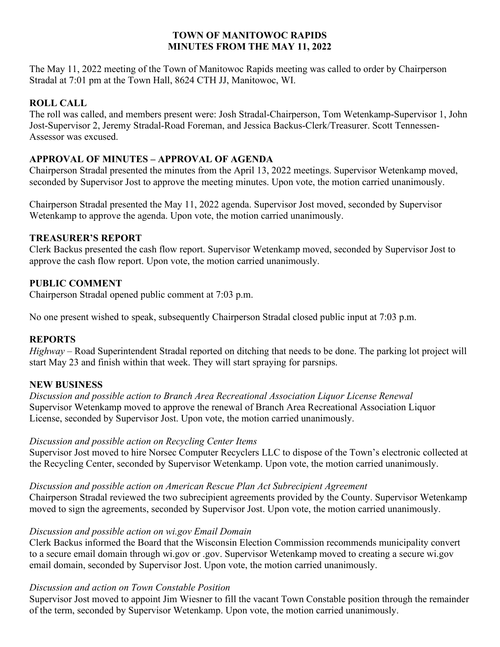### **TOWN OF MANITOWOC RAPIDS MINUTES FROM THE MAY 11, 2022**

The May 11, 2022 meeting of the Town of Manitowoc Rapids meeting was called to order by Chairperson Stradal at 7:01 pm at the Town Hall, 8624 CTH JJ, Manitowoc, WI.

# **ROLL CALL**

The roll was called, and members present were: Josh Stradal-Chairperson, Tom Wetenkamp-Supervisor 1, John Jost-Supervisor 2, Jeremy Stradal-Road Foreman, and Jessica Backus-Clerk/Treasurer. Scott Tennessen-Assessor was excused.

## **APPROVAL OF MINUTES – APPROVAL OF AGENDA**

Chairperson Stradal presented the minutes from the April 13, 2022 meetings. Supervisor Wetenkamp moved, seconded by Supervisor Jost to approve the meeting minutes. Upon vote, the motion carried unanimously.

Chairperson Stradal presented the May 11, 2022 agenda. Supervisor Jost moved, seconded by Supervisor Wetenkamp to approve the agenda. Upon vote, the motion carried unanimously.

### **TREASURER'S REPORT**

Clerk Backus presented the cash flow report. Supervisor Wetenkamp moved, seconded by Supervisor Jost to approve the cash flow report. Upon vote, the motion carried unanimously.

### **PUBLIC COMMENT**

Chairperson Stradal opened public comment at 7:03 p.m.

No one present wished to speak, subsequently Chairperson Stradal closed public input at 7:03 p.m.

### **REPORTS**

*Highway* – Road Superintendent Stradal reported on ditching that needs to be done. The parking lot project will start May 23 and finish within that week. They will start spraying for parsnips.

## **NEW BUSINESS**

*Discussion and possible action to Branch Area Recreational Association Liquor License Renewal* Supervisor Wetenkamp moved to approve the renewal of Branch Area Recreational Association Liquor License, seconded by Supervisor Jost. Upon vote, the motion carried unanimously.

### *Discussion and possible action on Recycling Center Items*

Supervisor Jost moved to hire Norsec Computer Recyclers LLC to dispose of the Town's electronic collected at the Recycling Center, seconded by Supervisor Wetenkamp. Upon vote, the motion carried unanimously.

### *Discussion and possible action on American Rescue Plan Act Subrecipient Agreement*

Chairperson Stradal reviewed the two subrecipient agreements provided by the County. Supervisor Wetenkamp moved to sign the agreements, seconded by Supervisor Jost. Upon vote, the motion carried unanimously.

### *Discussion and possible action on wi.gov Email Domain*

Clerk Backus informed the Board that the Wisconsin Election Commission recommends municipality convert to a secure email domain through wi.gov or .gov. Supervisor Wetenkamp moved to creating a secure wi.gov email domain, seconded by Supervisor Jost. Upon vote, the motion carried unanimously.

### *Discussion and action on Town Constable Position*

Supervisor Jost moved to appoint Jim Wiesner to fill the vacant Town Constable position through the remainder of the term, seconded by Supervisor Wetenkamp. Upon vote, the motion carried unanimously.